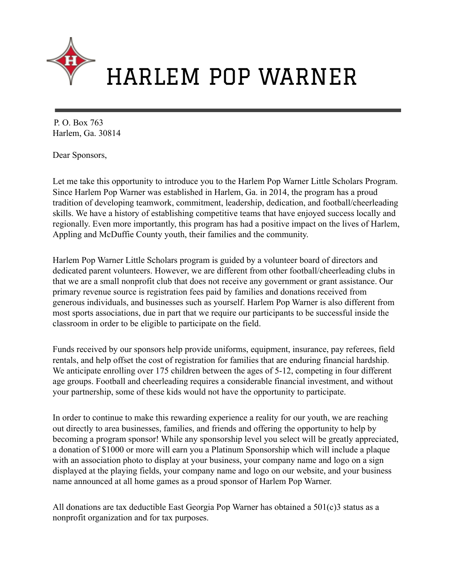

# HARLEM POP WARNER

P. O. Box 763 Harlem, Ga. 30814

Dear Sponsors,

Let me take this opportunity to introduce you to the Harlem Pop Warner Little Scholars Program. Since Harlem Pop Warner was established in Harlem, Ga. in 2014, the program has a proud tradition of developing teamwork, commitment, leadership, dedication, and football/cheerleading skills. We have a history of establishing competitive teams that have enjoyed success locally and regionally. Even more importantly, this program has had a positive impact on the lives of Harlem, Appling and McDuffie County youth, their families and the community.

Harlem Pop Warner Little Scholars program is guided by a volunteer board of directors and dedicated parent volunteers. However, we are different from other football/cheerleading clubs in that we are a small nonprofit club that does not receive any government or grant assistance. Our primary revenue source is registration fees paid by families and donations received from generous individuals, and businesses such as yourself. Harlem Pop Warner is also different from most sports associations, due in part that we require our participants to be successful inside the classroom in order to be eligible to participate on the field.

Funds received by our sponsors help provide uniforms, equipment, insurance, pay referees, field rentals, and help offset the cost of registration for families that are enduring financial hardship. We anticipate enrolling over 175 children between the ages of 5-12, competing in four different age groups. Football and cheerleading requires a considerable financial investment, and without your partnership, some of these kids would not have the opportunity to participate.

In order to continue to make this rewarding experience a reality for our youth, we are reaching out directly to area businesses, families, and friends and offering the opportunity to help by becoming a program sponsor! While any sponsorship level you select will be greatly appreciated, a donation of \$1000 or more will earn you a Platinum Sponsorship which will include a plaque with an association photo to display at your business, your company name and logo on a sign displayed at the playing fields, your company name and logo on our website, and your business name announced at all home games as a proud sponsor of Harlem Pop Warner.

All donations are tax deductible East Georgia Pop Warner has obtained a 501(c)3 status as a nonprofit organization and for tax purposes.